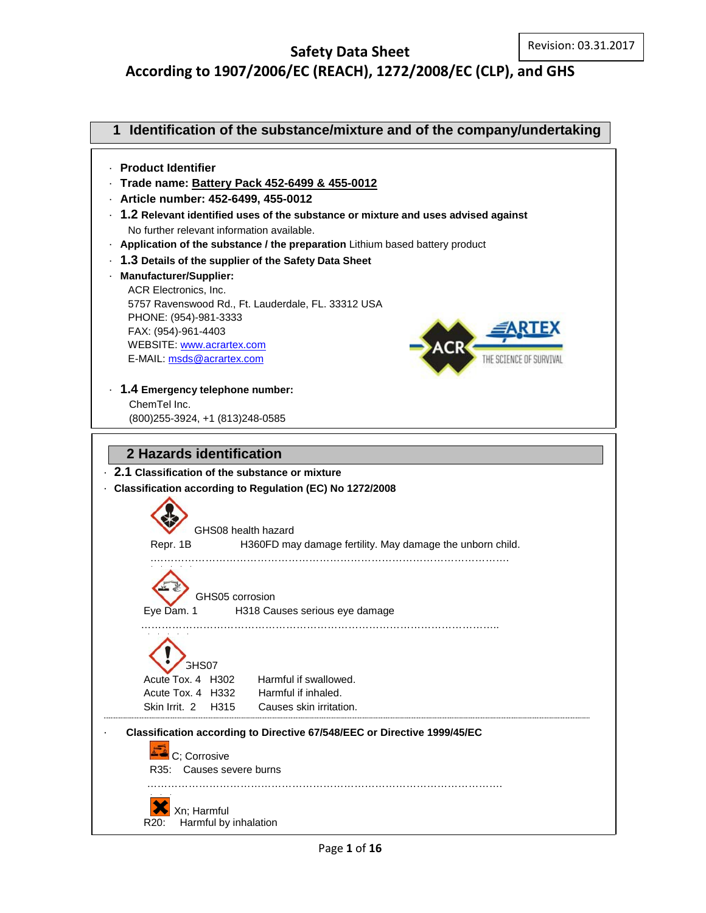# **Safety Data Sheet According to 1907/2006/EC (REACH), 1272/2008/EC (CLP), and GHS**

| Identification of the substance/mixture and of the company/undertaking<br>1                                                                                                                                                                                                                                                                                                                                                                                                                                       |  |  |
|-------------------------------------------------------------------------------------------------------------------------------------------------------------------------------------------------------------------------------------------------------------------------------------------------------------------------------------------------------------------------------------------------------------------------------------------------------------------------------------------------------------------|--|--|
| · Product Identifier<br>Trade name: Battery Pack 452-6499 & 455-0012<br>- Article number: 452-6499, 455-0012<br>$\cdot$ 1.2 Relevant identified uses of the substance or mixture and uses advised against<br>No further relevant information available.<br>. Application of the substance / the preparation Lithium based battery product<br>1.3 Details of the supplier of the Safety Data Sheet<br><b>Manufacturer/Supplier:</b><br>ACR Electronics, Inc.<br>5757 Ravenswood Rd., Ft. Lauderdale, FL. 33312 USA |  |  |
| PHONE: (954)-981-3333<br>FAX: (954)-961-4403<br>WEBSITE: www.acrartex.com<br>E-MAIL: msds@acrartex.com<br>THE SCIENCE OF SURVIVA                                                                                                                                                                                                                                                                                                                                                                                  |  |  |
| 1.4 Emergency telephone number:<br>ChemTel Inc.<br>(800) 255-3924, +1 (813) 248-0585                                                                                                                                                                                                                                                                                                                                                                                                                              |  |  |
| 2.1 Classification of the substance or mixture<br>Classification according to Regulation (EC) No 1272/2008<br>GHS08 health hazard<br>Repr. 1B<br>H360FD may damage fertility. May damage the unborn child.                                                                                                                                                                                                                                                                                                        |  |  |
| GHS05 corrosion<br>Eye Dam. 1<br>H318 Causes serious eye damage                                                                                                                                                                                                                                                                                                                                                                                                                                                   |  |  |
| <b>GHS07</b><br>Harmful if swallowed.<br>Acute Tox. 4 H302<br>Acute Tox. 4 H332<br>Harmful if inhaled.<br>H <sub>315</sub><br>Causes skin irritation.<br>Skin Irrit. 2                                                                                                                                                                                                                                                                                                                                            |  |  |
| Classification according to Directive 67/548/EEC or Directive 1999/45/EC<br>C: Corrosive<br>R35: Causes severe burns                                                                                                                                                                                                                                                                                                                                                                                              |  |  |
| Xn; Harmful<br>Harmful by inhalation<br>R20:                                                                                                                                                                                                                                                                                                                                                                                                                                                                      |  |  |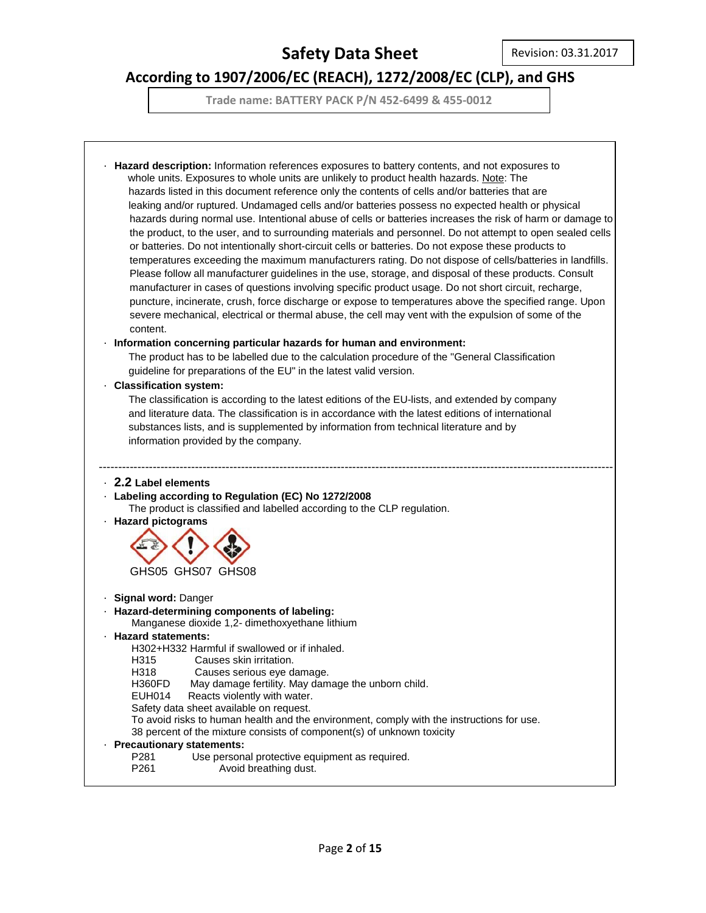# **According to 1907/2006/EC (REACH), 1272/2008/EC (CLP), and GHS**

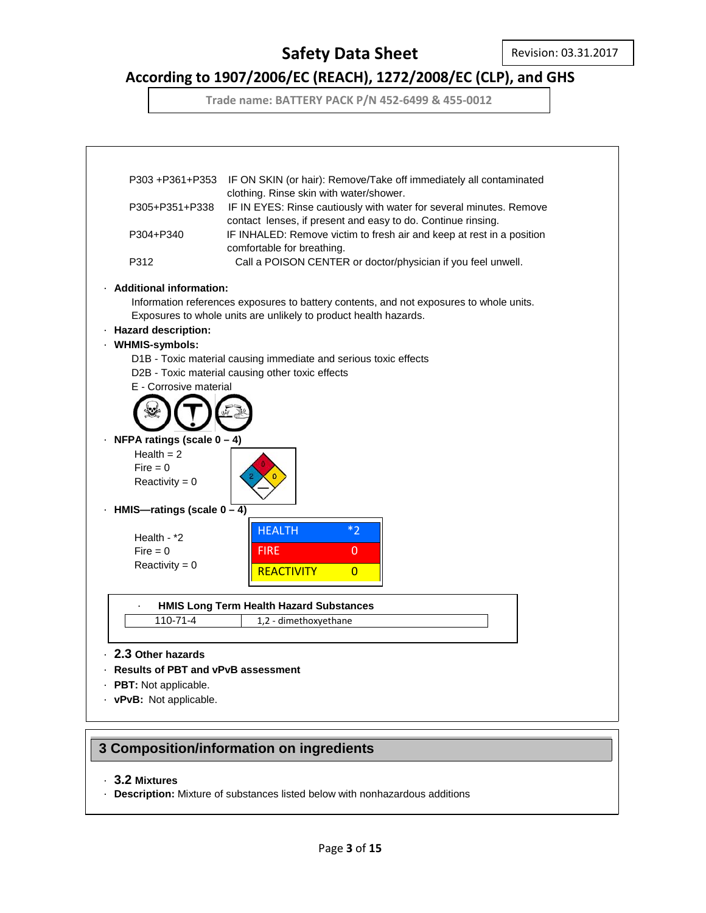## **According to 1907/2006/EC (REACH), 1272/2008/EC (CLP), and GHS**

**Trade name: BATTERY PACK P/N 452-6499 & 455-0012**



### **3 Composition/information on ingredients**

### · **3.2 Mixtures**

· **Description:** Mixture of substances listed below with nonhazardous additions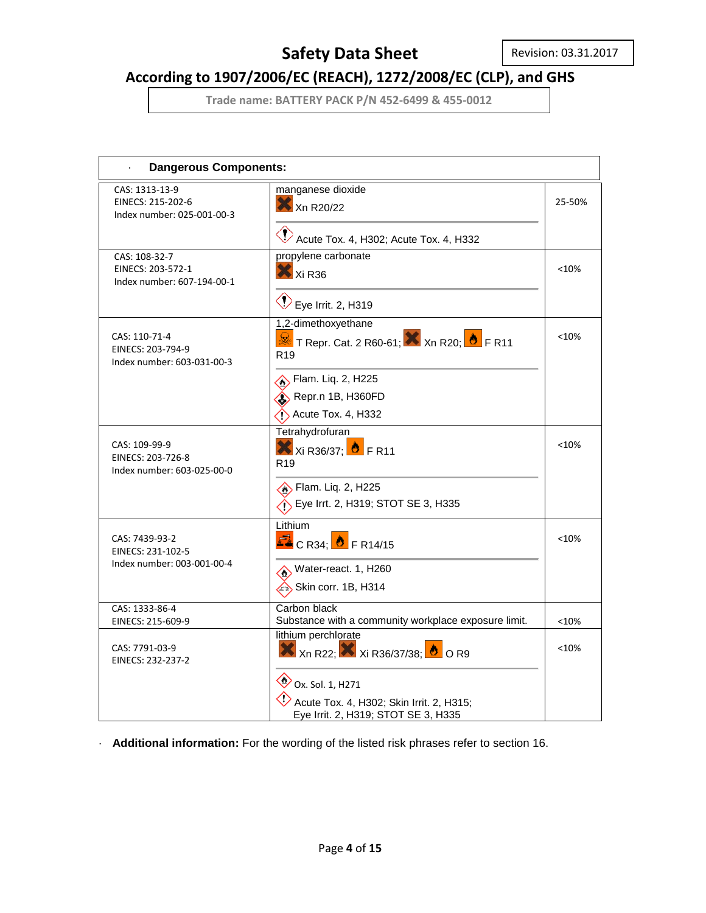# **According to 1907/2006/EC (REACH), 1272/2008/EC (CLP), and GHS**

**Trade name: BATTERY PACK P/N 452-6499 & 455-0012**

| <b>Dangerous Components:</b>                                      |                                                                                                                                                                                                              |         |
|-------------------------------------------------------------------|--------------------------------------------------------------------------------------------------------------------------------------------------------------------------------------------------------------|---------|
| CAS: 1313-13-9<br>EINECS: 215-202-6<br>Index number: 025-001-00-3 | manganese dioxide<br>Xn R20/22<br>$\langle \rangle$<br>Acute Tox. 4, H302; Acute Tox. 4, H332                                                                                                                | 25-50%  |
| CAS: 108-32-7<br>EINECS: 203-572-1<br>Index number: 607-194-00-1  | propylene carbonate<br>$X$ Xi R36<br>$\bigotimes$ Eye Irrit. 2, H319                                                                                                                                         | <10%    |
| CAS: 110-71-4<br>EINECS: 203-794-9<br>Index number: 603-031-00-3  | 1,2-dimethoxyethane<br><mark>≫</mark> T Repr. Cat. 2 R60-61; X Xn R20; <mark>♦</mark> F R11<br>R <sub>19</sub><br>Flam. Liq. 2, H225<br>Repr.n 1B, H360FD<br>$\leftrightarrow$ Acute Tox. 4, H332            | $<$ 10% |
| CAS: 109-99-9<br>EINECS: 203-726-8<br>Index number: 603-025-00-0  | Tetrahydrofuran<br>$X$ Xi R36/37; $\bullet$ F R11<br>R <sub>19</sub><br>Sig. 2, H225<br>Eye Irrt. 2, H319; STOT SE 3, H335                                                                                   | < 10%   |
| CAS: 7439-93-2<br>EINECS: 231-102-5<br>Index number: 003-001-00-4 | Lithium<br>$\mathbb{Z}_{\text{C R34}}$ $\bullet$ FR14/15<br>Water-react. 1, H260<br>$\leftrightarrow$ Skin corr. 1B, H314                                                                                    | < 10%   |
| CAS: 1333-86-4<br>EINECS: 215-609-9                               | Carbon black<br>Substance with a community workplace exposure limit.                                                                                                                                         | < 10%   |
| CAS: 7791-03-9<br>EINECS: 232-237-2                               | lithium perchlorate<br>$\bigotimes$ Xn R22; $\bigotimes$ Xi R36/37/38; $\bigotimes$ O R9<br>$\bigotimes$ Ox. Sol. 1, H271<br>Acute Tox. 4, H302; Skin Irrit. 2, H315;<br>Eye Irrit. 2, H319; STOT SE 3, H335 | < 10%   |

· **Additional information:** For the wording of the listed risk phrases refer to section 16.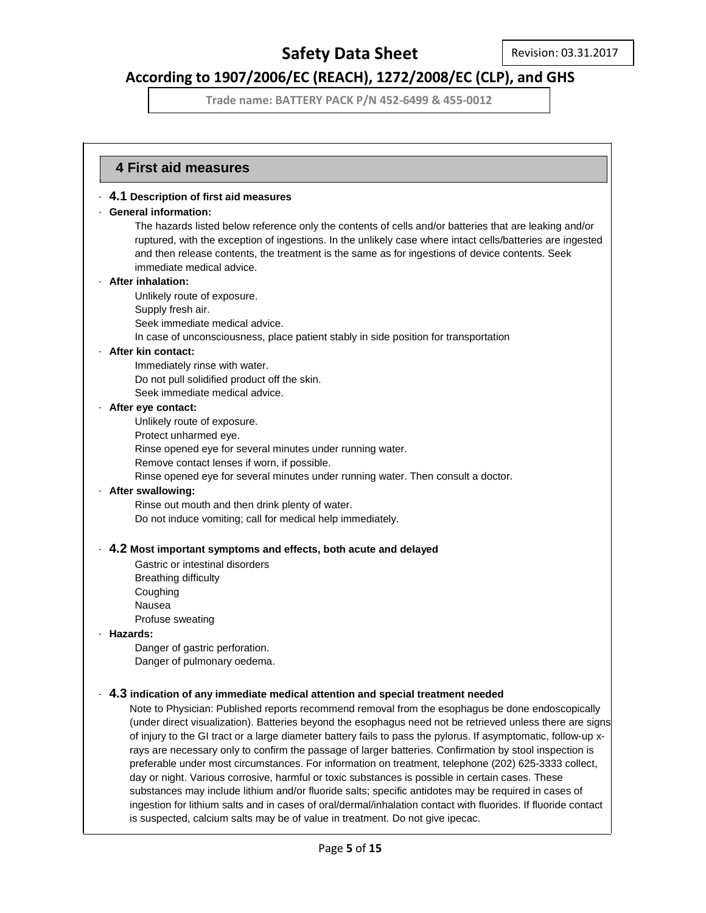# **According to 1907/2006/EC (REACH), 1272/2008/EC (CLP), and GHS**

**Trade name: BATTERY PACK P/N 452-6499 & 455-0012**

### **4 First aid measures** ·

· **4.1 Description of first aid measures**

### · **General information:**

The hazards listed below reference only the contents of cells and/or batteries that are leaking and/or ruptured, with the exception of ingestions. In the unlikely case where intact cells/batteries are ingested and then release contents, the treatment is the same as for ingestions of device contents. Seek immediate medical advice.

#### · **After inhalation:**

Unlikely route of exposure.

- Supply fresh air.
- Seek immediate medical advice.

In case of unconsciousness, place patient stably in side position for transportation

#### · **After kin contact:**

Immediately rinse with water. Do not pull solidified product off the skin. Seek immediate medical advice.

#### · **After eye contact:**

Unlikely route of exposure.

- Protect unharmed eye.
- Rinse opened eye for several minutes under running water.

Remove contact lenses if worn, if possible.

Rinse opened eye for several minutes under running water. Then consult a doctor.

### · **After swallowing:**

Rinse out mouth and then drink plenty of water. Do not induce vomiting; call for medical help immediately.

### · **4.2 Most important symptoms and effects, both acute and delayed**

Gastric or intestinal disorders Breathing difficulty Coughing Nausea Profuse sweating

### · **Hazards:**

Danger of gastric perforation. Danger of pulmonary oedema.

### · **4.3 indication of any immediate medical attention and special treatment needed**

Note to Physician: Published reports recommend removal from the esophagus be done endoscopically (under direct visualization). Batteries beyond the esophagus need not be retrieved unless there are signs of injury to the GI tract or a large diameter battery fails to pass the pylorus. If asymptomatic, follow-up xrays are necessary only to confirm the passage of larger batteries. Confirmation by stool inspection is preferable under most circumstances. For information on treatment, telephone (202) 625-3333 collect, day or night. Various corrosive, harmful or toxic substances is possible in certain cases. These substances may include lithium and/or fluoride salts; specific antidotes may be required in cases of ingestion for lithium salts and in cases of oral/dermal/inhalation contact with fluorides. If fluoride contact is suspected, calcium salts may be of value in treatment. Do not give ipecac.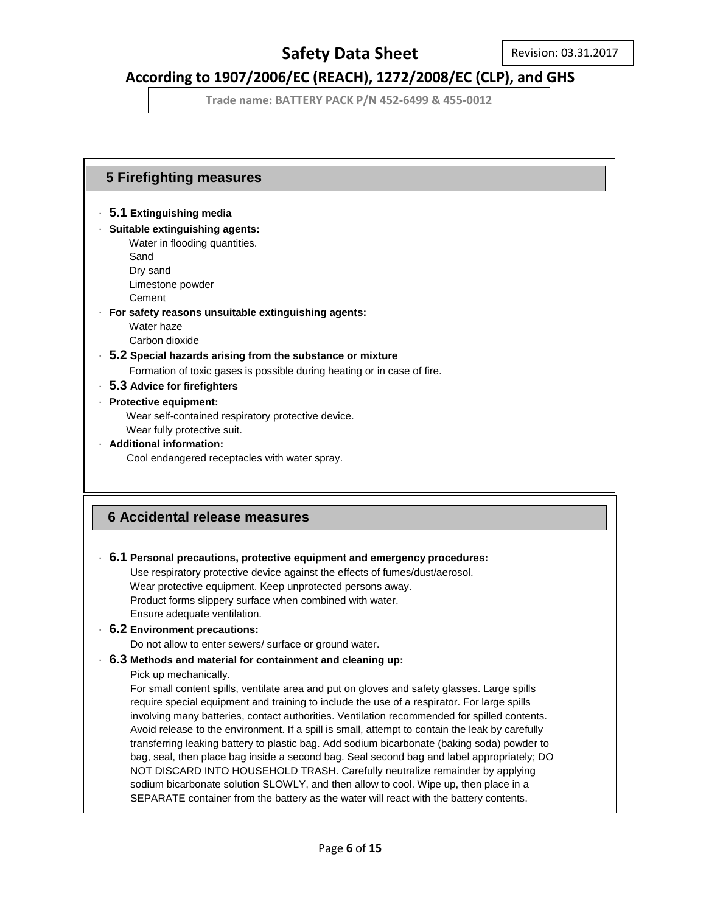## **According to 1907/2006/EC (REACH), 1272/2008/EC (CLP), and GHS**

**Trade name: BATTERY PACK P/N 452-6499 & 455-0012**

## **5 Firefighting measures 6 Accidental release measures** · **5.1 Extinguishing media** · **Suitable extinguishing agents:** Water in flooding quantities. Sand Dry sand Limestone powder Cement · **For safety reasons unsuitable extinguishing agents:** Water haze Carbon dioxide · **5.2 Special hazards arising from the substance or mixture** Formation of toxic gases is possible during heating or in case of fire. · **5.3 Advice for firefighters** · **Protective equipment:** Wear self-contained respiratory protective device. Wear fully protective suit. · **Additional information:** Cool endangered receptacles with water spray. · **6.1 Personal precautions, protective equipment and emergency procedures:** Use respiratory protective device against the effects of fumes/dust/aerosol. Wear protective equipment. Keep unprotected persons away. Product forms slippery surface when combined with water. Ensure adequate ventilation. · **6.2 Environment precautions:** Do not allow to enter sewers/ surface or ground water. · **6.3 Methods and material for containment and cleaning up:** Pick up mechanically. For small content spills, ventilate area and put on gloves and safety glasses. Large spills require special equipment and training to include the use of a respirator. For large spills involving many batteries, contact authorities. Ventilation recommended for spilled contents. Avoid release to the environment. If a spill is small, attempt to contain the leak by carefully transferring leaking battery to plastic bag. Add sodium bicarbonate (baking soda) powder to bag, seal, then place bag inside a second bag. Seal second bag and label appropriately; DO NOT DISCARD INTO HOUSEHOLD TRASH. Carefully neutralize remainder by applying sodium bicarbonate solution SLOWLY, and then allow to cool. Wipe up, then place in a SEPARATE container from the battery as the water will react with the battery contents.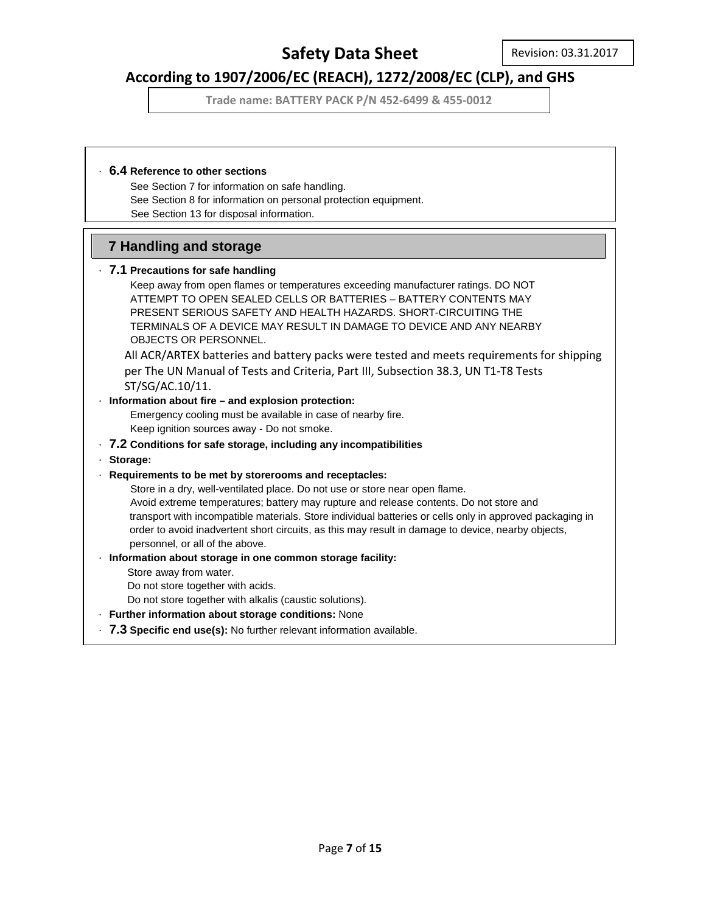## **According to 1907/2006/EC (REACH), 1272/2008/EC (CLP), and GHS**

**Trade name: BATTERY PACK P/N 452-6499 & 455-0012**

### · **6.4 Reference to other sections**

 See Section 7 for information on safe handling. See Section 8 for information on personal protection equipment. See Section 13 for disposal information.

### **7 Handling and storage**

### · **7.1 Precautions for safe handling**

 Keep away from open flames or temperatures exceeding manufacturer ratings. DO NOT ATTEMPT TO OPEN SEALED CELLS OR BATTERIES – BATTERY CONTENTS MAY PRESENT SERIOUS SAFETY AND HEALTH HAZARDS. SHORT-CIRCUITING THE TERMINALS OF A DEVICE MAY RESULT IN DAMAGE TO DEVICE AND ANY NEARBY OBJECTS OR PERSONNEL.

All ACR/ARTEX batteries and battery packs were tested and meets requirements for shipping per The UN Manual of Tests and Criteria, Part III, Subsection 38.3, UN T1-T8 Tests ST/SG/AC.10/11.

### · **Information about fire – and explosion protection:**

 Emergency cooling must be available in case of nearby fire. Keep ignition sources away - Do not smoke.

### · **7.2 Conditions for safe storage, including any incompatibilities**

· **Storage:**

### · **Requirements to be met by storerooms and receptacles:**

 Store in a dry, well-ventilated place. Do not use or store near open flame. Avoid extreme temperatures; battery may rupture and release contents. Do not store and transport with incompatible materials. Store individual batteries or cells only in approved packaging in order to avoid inadvertent short circuits, as this may result in damage to device, nearby objects, personnel, or all of the above.

### · **Information about storage in one common storage facility:**

Store away from water.

Do not store together with acids.

- Do not store together with alkalis (caustic solutions).
- · **Further information about storage conditions:** None
- · **7.3 Specific end use(s):** No further relevant information available.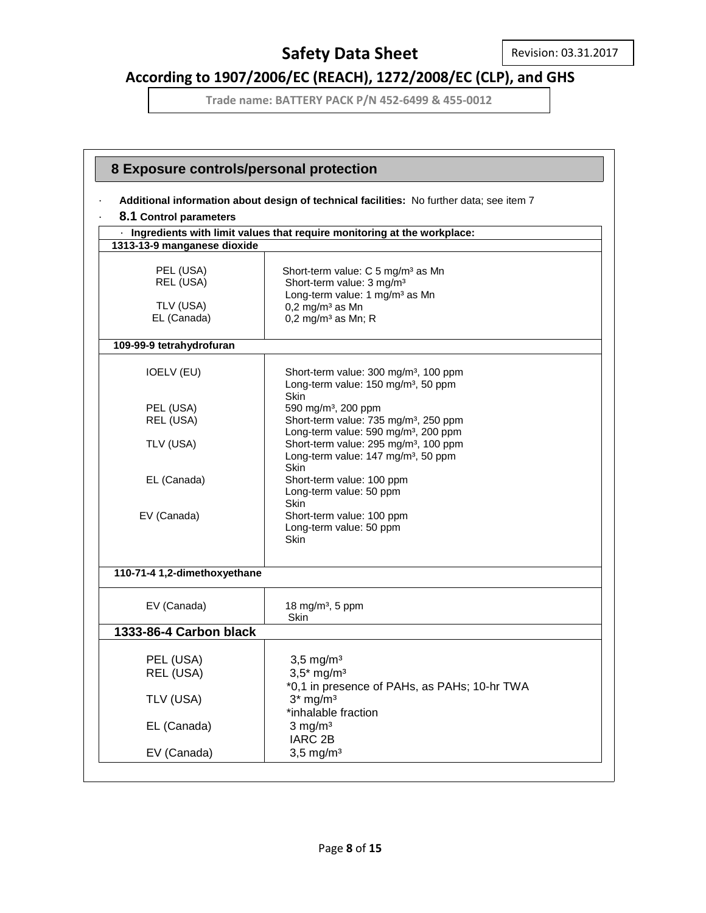# **According to 1907/2006/EC (REACH), 1272/2008/EC (CLP), and GHS**

|                                                    | 8 Exposure controls/personal protection                                                                                                                                                                   |  |  |  |  |
|----------------------------------------------------|-----------------------------------------------------------------------------------------------------------------------------------------------------------------------------------------------------------|--|--|--|--|
|                                                    |                                                                                                                                                                                                           |  |  |  |  |
| 8.1 Control parameters                             | Additional information about design of technical facilities: No further data; see item 7                                                                                                                  |  |  |  |  |
|                                                    | Ingredients with limit values that require monitoring at the workplace:                                                                                                                                   |  |  |  |  |
| 1313-13-9 manganese dioxide                        |                                                                                                                                                                                                           |  |  |  |  |
| PEL (USA)<br>REL (USA)<br>TLV (USA)<br>EL (Canada) | Short-term value: C 5 mg/m <sup>3</sup> as Mn<br>Short-term value: 3 mg/m <sup>3</sup><br>Long-term value: 1 mg/m <sup>3</sup> as Mn<br>$0,2$ mg/m <sup>3</sup> as Mn<br>$0,2$ mg/m <sup>3</sup> as Mn; R |  |  |  |  |
| 109-99-9 tetrahydrofuran                           |                                                                                                                                                                                                           |  |  |  |  |
| <b>IOELV (EU)</b>                                  | Short-term value: 300 mg/m <sup>3</sup> , 100 ppm<br>Long-term value: 150 mg/m <sup>3</sup> , 50 ppm<br>Skin                                                                                              |  |  |  |  |
| PEL (USA)                                          | 590 mg/m <sup>3</sup> , 200 ppm                                                                                                                                                                           |  |  |  |  |
| REL (USA)                                          | Short-term value: 735 mg/m <sup>3</sup> , 250 ppm<br>Long-term value: 590 mg/m <sup>3</sup> , 200 ppm                                                                                                     |  |  |  |  |
| TLV (USA)                                          | Short-term value: 295 mg/m <sup>3</sup> , 100 ppm<br>Long-term value: 147 mg/m <sup>3</sup> , 50 ppm<br>Skin                                                                                              |  |  |  |  |
| EL (Canada)                                        | Short-term value: 100 ppm<br>Long-term value: 50 ppm<br>Skin                                                                                                                                              |  |  |  |  |
| EV (Canada)                                        | Short-term value: 100 ppm<br>Long-term value: 50 ppm<br>Skin                                                                                                                                              |  |  |  |  |
| 110-71-4 1,2-dimethoxyethane                       |                                                                                                                                                                                                           |  |  |  |  |
| EV (Canada)                                        | 18 mg/m <sup>3</sup> , 5 ppm<br>Skin                                                                                                                                                                      |  |  |  |  |
| 1333-86-4 Carbon black                             |                                                                                                                                                                                                           |  |  |  |  |
| PEL (USA)                                          | $3,5$ mg/m <sup>3</sup>                                                                                                                                                                                   |  |  |  |  |
| REL (USA)                                          | $3,5*$ mg/m <sup>3</sup><br>*0,1 in presence of PAHs, as PAHs; 10-hr TWA                                                                                                                                  |  |  |  |  |
| TLV (USA)                                          | $3*$ mg/m <sup>3</sup><br>*inhalable fraction                                                                                                                                                             |  |  |  |  |
| EL (Canada)                                        | $3$ mg/m <sup>3</sup><br>IARC <sub>2B</sub>                                                                                                                                                               |  |  |  |  |
| EV (Canada)                                        | $3,5$ mg/m <sup>3</sup>                                                                                                                                                                                   |  |  |  |  |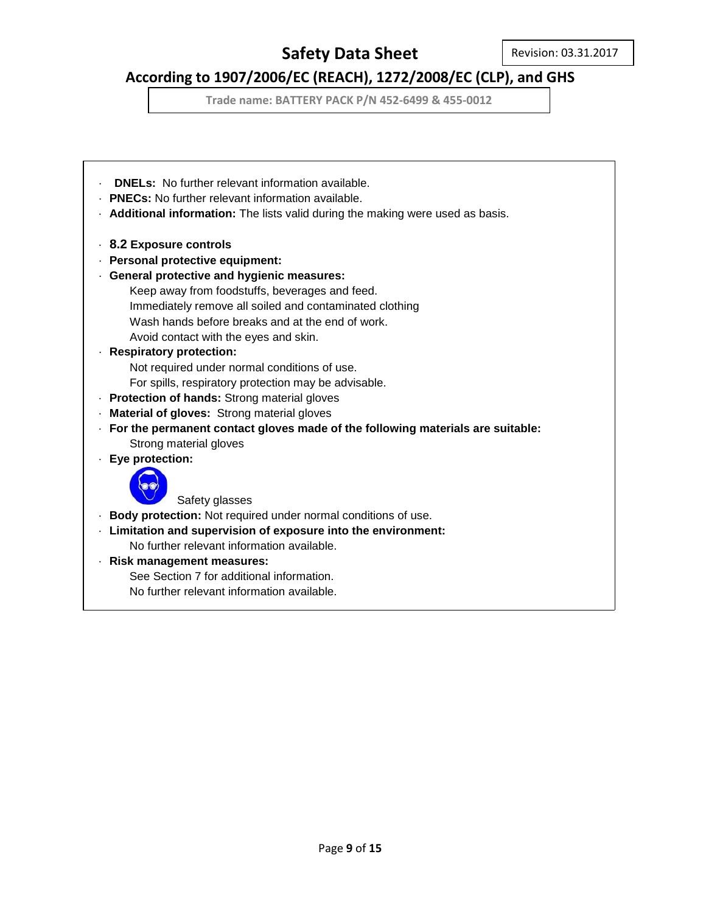# **According to 1907/2006/EC (REACH), 1272/2008/EC (CLP), and GHS**

**Trade name: BATTERY PACK P/N 452-6499 & 455-0012**

**DNELs:** No further relevant information available. · **PNECs:** No further relevant information available. · **Additional information:** The lists valid during the making were used as basis. · **8.2 Exposure controls** · **Personal protective equipment:** · **General protective and hygienic measures:** Keep away from foodstuffs, beverages and feed. Immediately remove all soiled and contaminated clothing Wash hands before breaks and at the end of work. Avoid contact with the eyes and skin. · **Respiratory protection:** Not required under normal conditions of use. For spills, respiratory protection may be advisable. · **Protection of hands:** Strong material gloves · **Material of gloves:** Strong material gloves · **For the permanent contact gloves made of the following materials are suitable:** Strong material gloves · **Eye protection:** Safety glasses · **Body protection:** Not required under normal conditions of use. · **Limitation and supervision of exposure into the environment:** No further relevant information available. · **Risk management measures:** See Section 7 for additional information. No further relevant information available.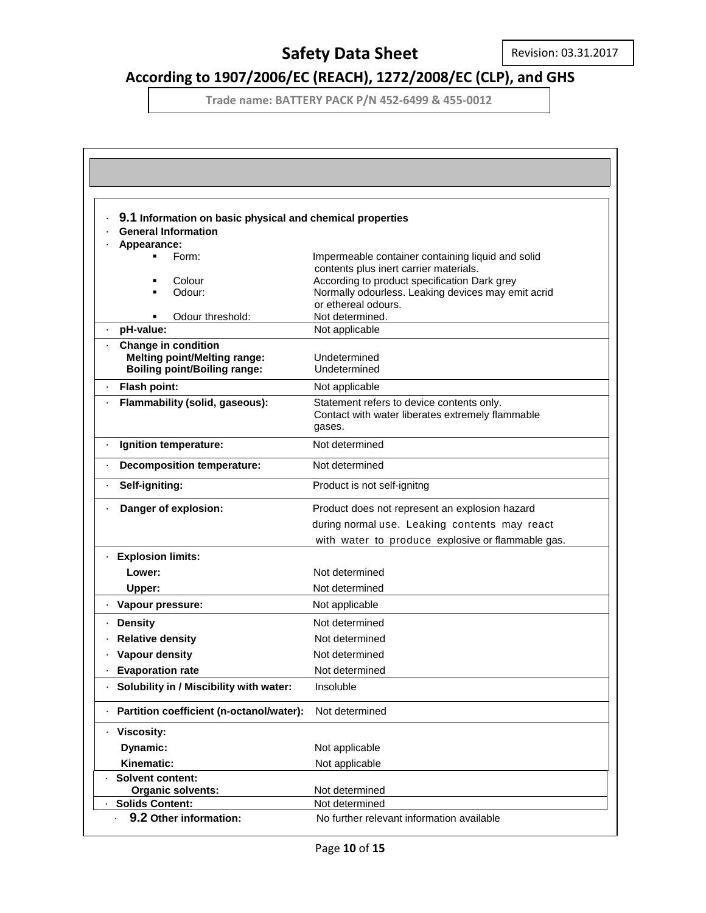# **According to 1907/2006/EC (REACH), 1272/2008/EC (CLP), and GHS**

| 9.1 Information on basic physical and chemical properties         |                                                                                        |
|-------------------------------------------------------------------|----------------------------------------------------------------------------------------|
| <b>General Information</b>                                        |                                                                                        |
| Appearance:                                                       |                                                                                        |
| Form:                                                             | Impermeable container containing liquid and solid                                      |
| Colour<br>٠                                                       | contents plus inert carrier materials.<br>According to product specification Dark grey |
| Odour:                                                            | Normally odourless. Leaking devices may emit acrid                                     |
|                                                                   | or ethereal odours.                                                                    |
| Odour threshold:                                                  | Not determined.                                                                        |
| pH-value:                                                         | Not applicable                                                                         |
| <b>Change in condition</b><br><b>Melting point/Melting range:</b> | Undetermined                                                                           |
| <b>Boiling point/Boiling range:</b>                               | Undetermined                                                                           |
| Flash point:                                                      | Not applicable                                                                         |
| Flammability (solid, gaseous):                                    | Statement refers to device contents only.                                              |
|                                                                   | Contact with water liberates extremely flammable                                       |
|                                                                   | gases.                                                                                 |
| Ignition temperature:                                             | Not determined                                                                         |
| Decomposition temperature:<br>٠                                   | Not determined                                                                         |
| Self-igniting:<br>$\blacksquare$                                  | Product is not self-ignitng                                                            |
| Danger of explosion:                                              | Product does not represent an explosion hazard                                         |
|                                                                   | during normal use. Leaking contents may react                                          |
|                                                                   | with water to produce explosive or flammable gas.                                      |
| · Explosion limits:                                               |                                                                                        |
| Lower:                                                            | Not determined                                                                         |
| Upper:                                                            | Not determined                                                                         |
| · Vapour pressure:                                                | Not applicable                                                                         |
| <b>Density</b>                                                    | Not determined                                                                         |
| <b>Relative density</b>                                           | Not determined                                                                         |
| <b>Vapour density</b>                                             | Not determined                                                                         |
| <b>Evaporation rate</b>                                           | Not determined                                                                         |
| Solubility in / Miscibility with water:                           | Insoluble                                                                              |
| Partition coefficient (n-octanol/water):                          | Not determined                                                                         |
| <b>Viscosity:</b>                                                 |                                                                                        |
| Dynamic:                                                          | Not applicable                                                                         |
| Kinematic:                                                        | Not applicable                                                                         |
| <b>Solvent content:</b>                                           |                                                                                        |
| <b>Organic solvents:</b>                                          | Not determined                                                                         |
| <b>Solids Content:</b>                                            | Not determined                                                                         |
| 9.2 Other information:                                            | No further relevant information available                                              |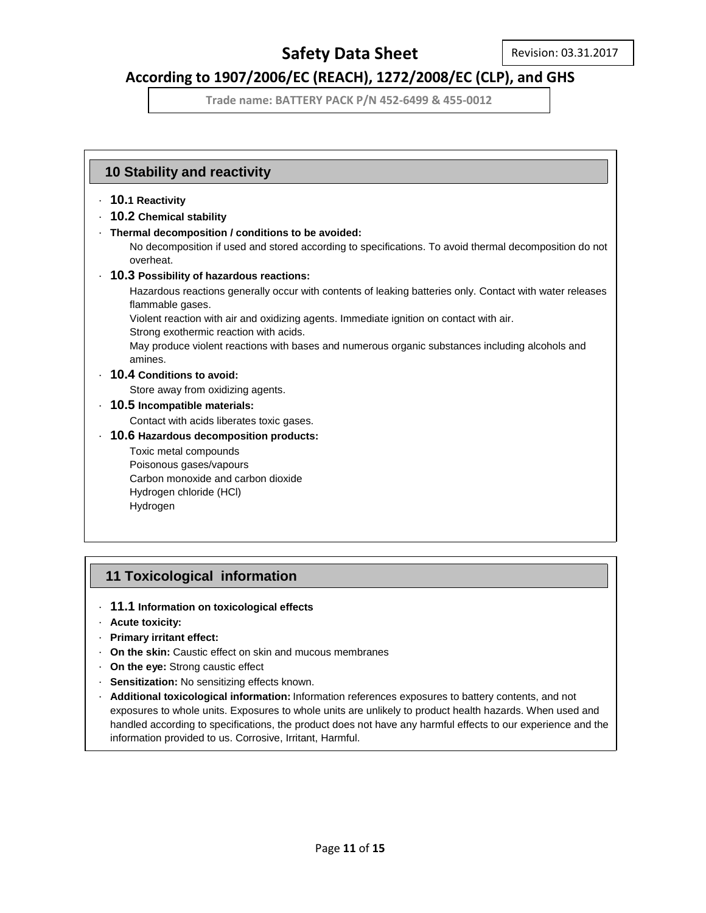## **According to 1907/2006/EC (REACH), 1272/2008/EC (CLP), and GHS**

**Trade name: BATTERY PACK P/N 452-6499 & 455-0012**

### **10 Stability and reactivity**

- · **10.1 Reactivity**
- · **10.2 Chemical stability**
- · **Thermal decomposition / conditions to be avoided:**

No decomposition if used and stored according to specifications. To avoid thermal decomposition do not overheat.

· **10.3 Possibility of hazardous reactions:**

Hazardous reactions generally occur with contents of leaking batteries only. Contact with water releases flammable gases.

Violent reaction with air and oxidizing agents. Immediate ignition on contact with air.

Strong exothermic reaction with acids.

May produce violent reactions with bases and numerous organic substances including alcohols and amines.

### · **10.4 Conditions to avoid:**

Store away from oxidizing agents.

### · **10.5 Incompatible materials:**

Contact with acids liberates toxic gases.

· **10.6 Hazardous decomposition products:**

Toxic metal compounds Poisonous gases/vapours Carbon monoxide and carbon dioxide Hydrogen chloride (HCl) Hydrogen

### **11 Toxicological information**

- · **11.1 Information on toxicological effects**
- · **Acute toxicity:**
- · **Primary irritant effect:**
- · **On the skin:** Caustic effect on skin and mucous membranes
- · **On the eye:** Strong caustic effect
- · **Sensitization:** No sensitizing effects known.
- · **Additional toxicological information:** Information references exposures to battery contents, and not exposures to whole units. Exposures to whole units are unlikely to product health hazards. When used and handled according to specifications, the product does not have any harmful effects to our experience and the information provided to us. Corrosive, Irritant, Harmful.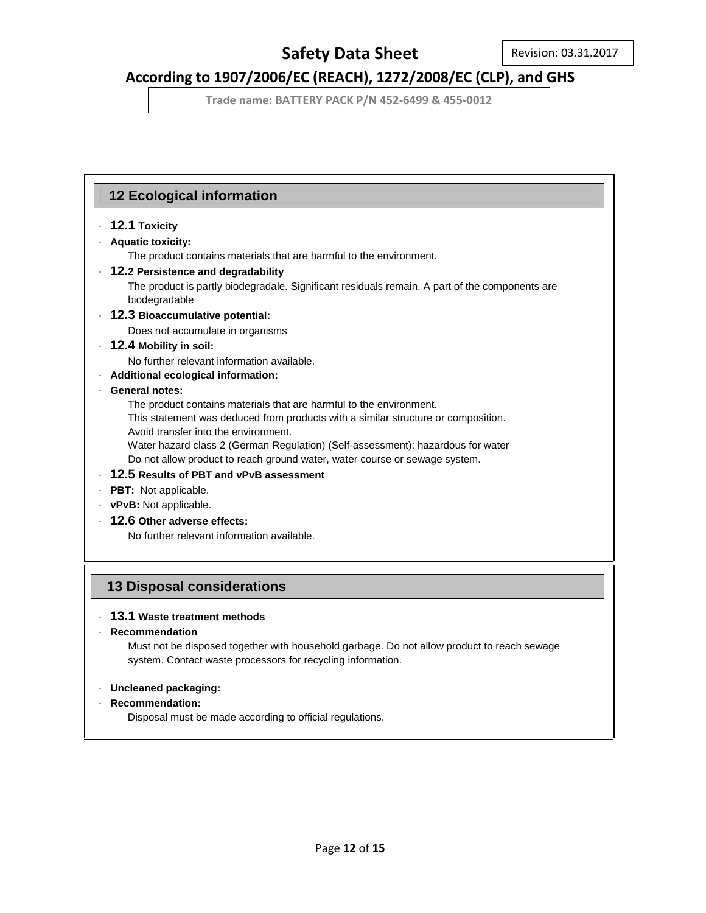## **According to 1907/2006/EC (REACH), 1272/2008/EC (CLP), and GHS**

**Trade name: BATTERY PACK P/N 452-6499 & 455-0012**

### **12 Ecological information**

### · **12.1 Toxicity**

### · **Aquatic toxicity:**

The product contains materials that are harmful to the environment.

### · **12.2 Persistence and degradability**

 The product is partly biodegradale. Significant residuals remain. A part of the components are biodegradable

· **12.3 Bioaccumulative potential:**

Does not accumulate in organisms

### · **12.4 Mobility in soil:**

No further relevant information available.

· **Additional ecological information:**

### · **General notes:**

The product contains materials that are harmful to the environment.

 This statement was deduced from products with a similar structure or composition. Avoid transfer into the environment.

 Water hazard class 2 (German Regulation) (Self-assessment): hazardous for water Do not allow product to reach ground water, water course or sewage system.

- · **12.5 Results of PBT and vPvB assessment**
- · **PBT:** Not applicable.
- · **vPvB:** Not applicable.
- · **12.6 Other adverse effects:**

No further relevant information available.

### **13 Disposal considerations**

### · **13.1 Waste treatment methods**

· **Recommendation**

 Must not be disposed together with household garbage. Do not allow product to reach sewage system. Contact waste processors for recycling information.

### · **Uncleaned packaging:**

### · **Recommendation:**

Disposal must be made according to official regulations.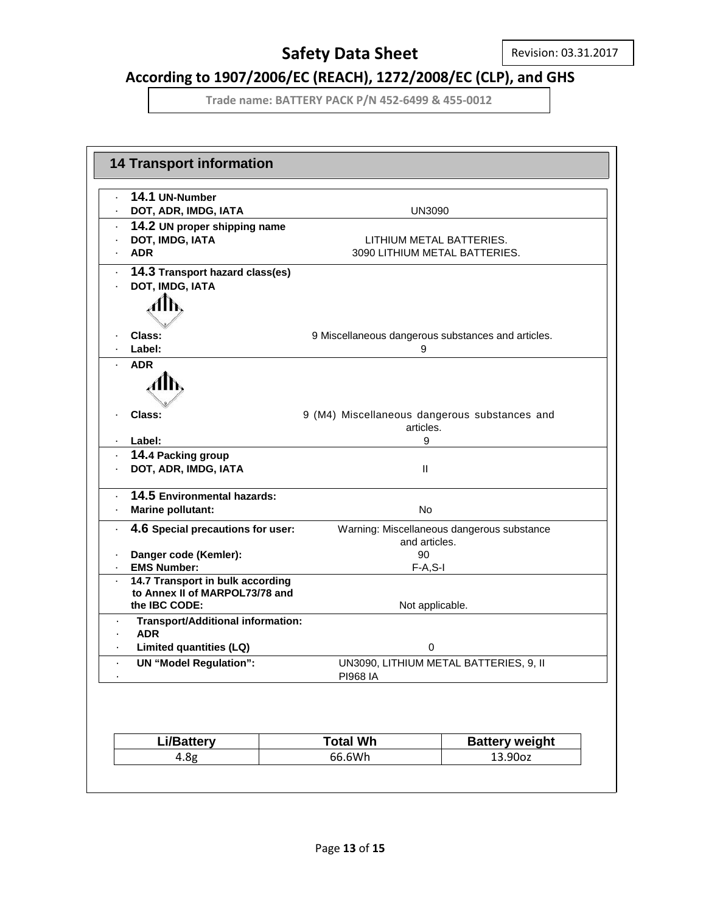## **According to 1907/2006/EC (REACH), 1272/2008/EC (CLP), and GHS**

| 14.1 UN-Number                                         |                                        |                                                            |  |  |
|--------------------------------------------------------|----------------------------------------|------------------------------------------------------------|--|--|
| DOT, ADR, IMDG, IATA                                   | <b>UN3090</b>                          |                                                            |  |  |
| 14.2 UN proper shipping name                           |                                        |                                                            |  |  |
| DOT, IMDG, IATA                                        |                                        | LITHIUM METAL BATTERIES.                                   |  |  |
| <b>ADR</b>                                             |                                        | 3090 LITHIUM METAL BATTERIES.                              |  |  |
| 14.3 Transport hazard class(es)                        |                                        |                                                            |  |  |
| DOT, IMDG, IATA                                        |                                        |                                                            |  |  |
|                                                        |                                        |                                                            |  |  |
|                                                        |                                        |                                                            |  |  |
| Class:                                                 |                                        | 9 Miscellaneous dangerous substances and articles.         |  |  |
| Label:                                                 | 9                                      |                                                            |  |  |
| <b>ADR</b>                                             |                                        |                                                            |  |  |
|                                                        |                                        |                                                            |  |  |
|                                                        |                                        |                                                            |  |  |
| Class:                                                 |                                        |                                                            |  |  |
|                                                        |                                        | 9 (M4) Miscellaneous dangerous substances and<br>articles. |  |  |
| Label:                                                 | 9                                      |                                                            |  |  |
| 14.4 Packing group                                     |                                        |                                                            |  |  |
| DOT, ADR, IMDG, IATA                                   | Ш                                      |                                                            |  |  |
|                                                        |                                        |                                                            |  |  |
| 14.5 Environmental hazards:                            |                                        |                                                            |  |  |
| <b>Marine pollutant:</b>                               | No                                     |                                                            |  |  |
| 4.6 Special precautions for user:                      |                                        | Warning: Miscellaneous dangerous substance                 |  |  |
|                                                        | and articles.                          |                                                            |  |  |
| Danger code (Kemler):                                  | 90                                     |                                                            |  |  |
| <b>EMS Number:</b><br>14.7 Transport in bulk according |                                        | $F-A, S-I$                                                 |  |  |
| to Annex II of MARPOL73/78 and                         |                                        |                                                            |  |  |
| the IBC CODE:                                          |                                        | Not applicable.                                            |  |  |
| <b>Transport/Additional information:</b>               |                                        |                                                            |  |  |
| <b>ADR</b>                                             |                                        |                                                            |  |  |
| Limited quantities (LQ)                                |                                        | 0                                                          |  |  |
| <b>UN "Model Regulation":</b>                          | UN3090, LITHIUM METAL BATTERIES, 9, II |                                                            |  |  |
|                                                        | <b>PI968 IA</b>                        |                                                            |  |  |
|                                                        |                                        |                                                            |  |  |
|                                                        |                                        |                                                            |  |  |
| <b>Li/Battery</b>                                      | <b>Total Wh</b>                        | <b>Battery weight</b>                                      |  |  |
| 4.8 <sub>g</sub>                                       | 66.6Wh                                 | 13.90oz                                                    |  |  |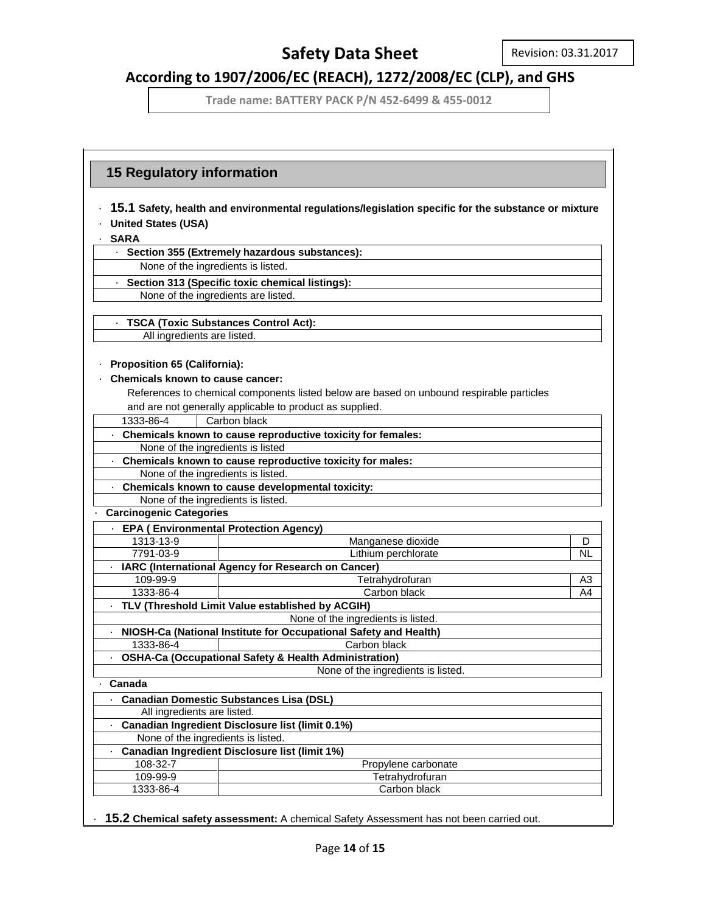## **According to 1907/2006/EC (REACH), 1272/2008/EC (CLP), and GHS**

**Trade name: BATTERY PACK P/N 452-6499 & 455-0012**

|                                         | 15.1 Safety, health and environmental regulations/legislation specific for the substance or mixture |           |
|-----------------------------------------|-----------------------------------------------------------------------------------------------------|-----------|
| <b>United States (USA)</b>              |                                                                                                     |           |
| <b>SARA</b>                             |                                                                                                     |           |
|                                         | · Section 355 (Extremely hazardous substances):                                                     |           |
|                                         | None of the ingredients is listed.                                                                  |           |
|                                         | · Section 313 (Specific toxic chemical listings):                                                   |           |
|                                         | None of the ingredients are listed.                                                                 |           |
|                                         |                                                                                                     |           |
|                                         | <b>TSCA (Toxic Substances Control Act):</b>                                                         |           |
| All ingredients are listed.             |                                                                                                     |           |
| <b>Proposition 65 (California):</b>     |                                                                                                     |           |
| <b>Chemicals known to cause cancer:</b> |                                                                                                     |           |
|                                         | References to chemical components listed below are based on unbound respirable particles            |           |
|                                         | and are not generally applicable to product as supplied.                                            |           |
| 1333-86-4                               | Carbon black                                                                                        |           |
|                                         | . Chemicals known to cause reproductive toxicity for females:                                       |           |
|                                         | None of the ingredients is listed                                                                   |           |
|                                         | . Chemicals known to cause reproductive toxicity for males:                                         |           |
|                                         | None of the ingredients is listed.                                                                  |           |
|                                         | Chemicals known to cause developmental toxicity:                                                    |           |
|                                         | None of the ingredients is listed.                                                                  |           |
| <b>Carcinogenic Categories</b>          |                                                                                                     |           |
|                                         | <b>EPA (Environmental Protection Agency)</b>                                                        |           |
| 1313-13-9                               | Manganese dioxide                                                                                   | D         |
| 7791-03-9                               | Lithium perchlorate                                                                                 | <b>NL</b> |
|                                         | · IARC (International Agency for Research on Cancer)                                                |           |
| 109-99-9                                | Tetrahydrofuran                                                                                     | A3        |
| 1333-86-4                               | Carbon black                                                                                        | A4        |
|                                         | · TLV (Threshold Limit Value established by ACGIH)                                                  |           |
|                                         | None of the ingredients is listed.                                                                  |           |
|                                         | NIOSH-Ca (National Institute for Occupational Safety and Health)                                    |           |
| 1333-86-4                               | Carbon black                                                                                        |           |
|                                         | <b>OSHA-Ca (Occupational Safety &amp; Health Administration)</b>                                    |           |
|                                         | None of the ingredients is listed                                                                   |           |
| Canada                                  |                                                                                                     |           |
|                                         | <b>Canadian Domestic Substances Lisa (DSL)</b>                                                      |           |
| All ingredients are listed.             |                                                                                                     |           |
|                                         | Canadian Ingredient Disclosure list (limit 0.1%)                                                    |           |
|                                         | None of the ingredients is listed.                                                                  |           |
|                                         | Canadian Ingredient Disclosure list (limit 1%)                                                      |           |
| 108-32-7                                | Propylene carbonate                                                                                 |           |
|                                         | Tetrahydrofuran                                                                                     |           |
| 109-99-9                                |                                                                                                     |           |

· **15.2 Chemical safety assessment:** A chemical Safety Assessment has not been carried out.